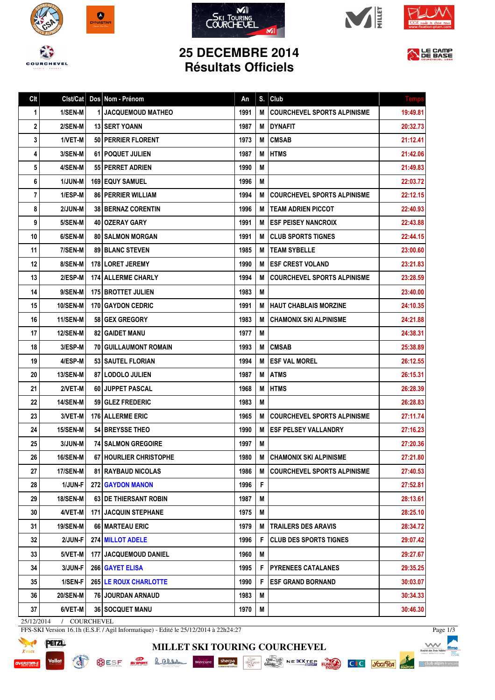









## **25 DECEMBRE 2014 Résultats Officiels**



| Clt | Clst/Cat        | Dos Nom - Prénom              | An   | S. | Club                               | <b>Temps</b> |
|-----|-----------------|-------------------------------|------|----|------------------------------------|--------------|
| 1   | 1/SEN-M         | <b>1 JACQUEMOUD MATHEO</b>    | 1991 | М  | <b>COURCHEVEL SPORTS ALPINISME</b> | 19:49.81     |
| 2   | 2/SEN-M         | <b>13 ISERT YOANN</b>         | 1987 | М  | DYNAFIT                            | 20:32.73     |
| 3   | 1/VET-M         | 50 PERRIER FLORENT            | 1973 | M  | <b>CMSAB</b>                       | 21:12.41     |
| 4   | 3/SEN-M         | <b>61 I POQUET JULIEN</b>     | 1987 | М  | <b>HTMS</b>                        | 21:42.06     |
| 5   | 4/SEN-M         | 55   PERRET ADRIEN            | 1990 | M  |                                    | 21:49.83     |
| 6   | 1/JUN-M         | <b>169 EQUY SAMUEL</b>        | 1996 | M  |                                    | 22:03.72     |
| 7   | 1/ESP-M         | <b>86   PERRIER WILLIAM</b>   | 1994 | M  | <b>COURCHEVEL SPORTS ALPINISME</b> | 22:12.15     |
| 8   | 2/JUN-M         | <b>38 BERNAZ CORENTIN</b>     | 1996 | М  | <b>TEAM ADRIEN PICCOT</b>          | 22:40.93     |
| 9   | 5/SEN-M         | 40   OZERAY GARY              | 1991 | М  | <b>ESF PEISEY NANCROIX</b>         | 22:43.88     |
| 10  | 6/SEN-M         | <b>80   SALMON MORGAN</b>     | 1991 | М  | <b>CLUB SPORTS TIGNES</b>          | 22:44.15     |
| 11  | 7/SEN-M         | <b>89 BLANC STEVEN</b>        | 1985 | М  | <b>TEAM SYBELLE</b>                | 23:00.60     |
| 12  | 8/SEN-M         | <b>178 LORET JEREMY</b>       | 1990 | М  | <b>IESF CREST VOLAND</b>           | 23:21.83     |
| 13  | 2/ESP-M         | <b>174 ALLERME CHARLY</b>     | 1994 | М  | <b>COURCHEVEL SPORTS ALPINISME</b> | 23:28.59     |
| 14  | 9/SEN-M         | <b>175 BROTTET JULIEN</b>     | 1983 | М  |                                    | 23:40.00     |
| 15  | <b>10/SEN-M</b> | 170 GAYDON CEDRIC             | 1991 | М  | <b>HAUT CHABLAIS MORZINE</b>       | 24:10.35     |
| 16  | <b>11/SEN-M</b> | <b>58 GEX GREGORY</b>         | 1983 | М  | <b>CHAMONIX SKI ALPINISME</b>      | 24:21.88     |
| 17  | <b>12/SEN-M</b> | <b>82   GAIDET MANU</b>       | 1977 | М  |                                    | 24:38.31     |
| 18  | 3/ESP-M         | <b>70 GUILLAUMONT ROMAIN</b>  | 1993 | M  | <b>CMSAB</b>                       | 25:38.89     |
| 19  | 4/ESP-M         | 53   SAUTEL FLORIAN           | 1994 | М  | <b>ESF VAL MOREL</b>               | 26:12.55     |
| 20  | <b>13/SEN-M</b> | 87   LODOLO JULIEN            | 1987 | M  | <b>ATMS</b>                        | 26:15.31     |
| 21  | 2/VET-M         | 60 JUPPET PASCAL              | 1968 | М  | <b>HTMS</b>                        | 26:28.39     |
| 22  | <b>14/SEN-M</b> | <b>59   GLEZ FREDERIC</b>     | 1983 | M  |                                    | 26:28.83     |
| 23  | 3/VET-M         | <b>176 ALLERME ERIC</b>       | 1965 | М  | <b>COURCHEVEL SPORTS ALPINISME</b> | 27:11.74     |
| 24  | <b>15/SEN-M</b> | 54 BREYSSE THEO               | 1990 | М  | <b>ESF PELSEY VALLANDRY</b>        | 27:16.23     |
| 25  | 3/JUN-M         | <b>74 SALMON GREGOIRE</b>     | 1997 | Μ  |                                    | 27:20.36     |
| 26  | 16/SEN-M        | 67   HOURLIER CHRISTOPHE      | 1980 |    | <b>M CHAMONIX SKI ALPINISME</b>    | 27:21.80     |
| 27  | 17/SEN-M        | <b>81 RAYBAUD NICOLAS</b>     | 1986 | М  | <b>COURCHEVEL SPORTS ALPINISME</b> | 27:40.53     |
| 28  | 1/JUN-F         | <b>272 GAYDON MANON</b>       | 1996 | F  |                                    | 27:52.81     |
| 29  | <b>18/SEN-M</b> | <b>63 IDE THIERSANT ROBIN</b> | 1987 | M  |                                    | 28:13.61     |
| 30  | 4/VET-M         | <b>171 JACQUIN STEPHANE</b>   | 1975 | M  |                                    | 28:25.10     |
| 31  | 19/SEN-M        | 66   MARTEAU ERIC             | 1979 | M  | <b>TRAILERS DES ARAVIS</b>         | 28:34.72     |
| 32  | 2/JUN-F         | 274 MILLOT ADELE              | 1996 | F. | <b>CLUB DES SPORTS TIGNES</b>      | 29:07.42     |
| 33  | 5/VET-M         | 177 JACQUEMOUD DANIEL         | 1960 | M  |                                    | 29:27.67     |
| 34  | 3/JUN-F         | 266 GAYET ELISA               | 1995 | F. | <b>PYRENEES CATALANES</b>          | 29:35.25     |
| 35  | 1/SEN-F         | <b>265 LE ROUX CHARLOTTE</b>  | 1990 | F. | <b>ESF GRAND BORNAND</b>           | 30:03.07     |
| 36  | <b>20/SEN-M</b> | 76 JOURDAN ARNAUD             | 1983 | М  |                                    | 30:34.33     |
| 37  | 6/VET-M         | 36 SOCQUET MANU               | 1970 | M  |                                    | 30:46.30     |

**MILLET SKI TOURING COURCHEVEL**

25/12/2014 / COURCHEVEL

**READ** 

FFS-SKI Version 16.1h (E.S.F. / Agil Informatique) - Edité le 25/12/2014 à 22h24:27



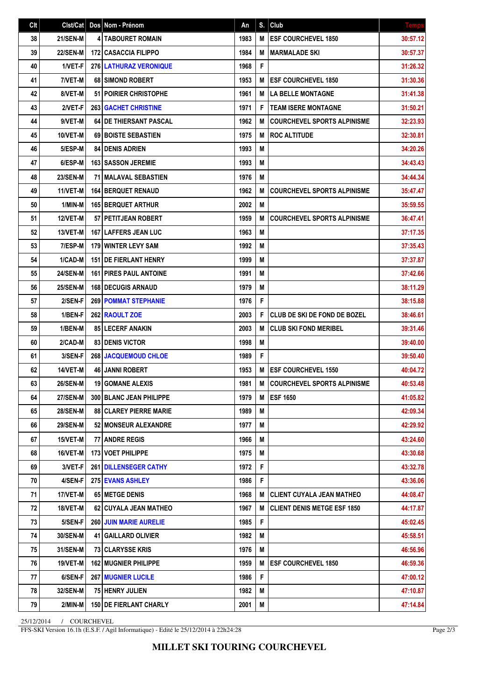| Clt | Clst/Cat        | Dos Nom - Prénom               | An   | S. | Club                                | <b>Temps</b> |
|-----|-----------------|--------------------------------|------|----|-------------------------------------|--------------|
| 38  | <b>21/SEN-M</b> | <b>4 TABOURET ROMAIN</b>       | 1983 | M  | <b>ESF COURCHEVEL 1850</b>          | 30:57.12     |
| 39  | <b>22/SEN-M</b> | <b>172 CASACCIA FILIPPO</b>    | 1984 | M  | <b>MARMALADE SKI</b>                | 30:57.37     |
| 40  | 1/VET-F         | <b>276 LATHURAZ VERONIQUE</b>  | 1968 | F  |                                     | 31:26.32     |
| 41  | 7/VET-M         | 68 SIMOND ROBERT               | 1953 | M  | <b>ESF COURCHEVEL 1850</b>          | 31:30.36     |
| 42  | 8/VET-M         | 51 POIRIER CHRISTOPHE          | 1961 | M  | <b>LA BELLE MONTAGNE</b>            | 31:41.38     |
| 43  | 2/VET-F         | <b>263 GACHET CHRISTINE</b>    | 1971 | F  | <b>TEAM ISERE MONTAGNE</b>          | 31:50.21     |
| 44  | 9/VET-M         | <b>64 DE THIERSANT PASCAL</b>  | 1962 | M  | <b>COURCHEVEL SPORTS ALPINISME</b>  | 32:23.93     |
| 45  | 10/VET-M        | 69 BOISTE SEBASTIEN            | 1975 | M  | <b>ROC ALTITUDE</b>                 | 32:30.81     |
| 46  | 5/ESP-M         | <b>84 I DENIS ADRIEN</b>       | 1993 | M  |                                     | 34:20.26     |
| 47  | 6/ESP-M         | <b>163 SASSON JEREMIE</b>      | 1993 | M  |                                     | 34:43.43     |
| 48  | <b>23/SEN-M</b> | <b>71 I MALAVAL SEBASTIEN</b>  | 1976 | M  |                                     | 34:44.34     |
| 49  | 11/VET-M        | <b>164 BERQUET RENAUD</b>      | 1962 | M  | <b>COURCHEVEL SPORTS ALPINISME</b>  | 35:47.47     |
| 50  | 1/MIN-M         | <b>165 BERQUET ARTHUR</b>      | 2002 | M  |                                     | 35:59.55     |
| 51  | <b>12/VET-M</b> | 57 PETITJEAN ROBERT            | 1959 | M  | <b>COURCHEVEL SPORTS ALPINISME</b>  | 36:47.41     |
| 52  | 13/VET-M        | <b>167   LAFFERS JEAN LUC</b>  | 1963 | M  |                                     | 37:17.35     |
| 53  | 7/ESP-M         | <b>179 WINTER LEVY SAM</b>     | 1992 | M  |                                     | 37:35.43     |
| 54  | 1/CAD-M         | <b>151   DE FIERLANT HENRY</b> | 1999 | M  |                                     | 37:37.87     |
| 55  | <b>24/SEN-M</b> | <b>161 PIRES PAUL ANTOINE</b>  | 1991 | M  |                                     | 37:42.66     |
| 56  | <b>25/SEN-M</b> | <b>168 DECUGIS ARNAUD</b>      | 1979 | M  |                                     | 38:11.29     |
| 57  | 2/SEN-F         | <b>269 POMMAT STEPHANIE</b>    | 1976 | F  |                                     | 38:15.88     |
| 58  | 1/BEN-F         | 262 RAOULT ZOE                 | 2003 | F  | <b>CLUB DE SKI DE FOND DE BOZEL</b> | 38:46.61     |
| 59  | 1/BEN-M         | 85 LECERF ANAKIN               | 2003 | M  | <b>CLUB SKI FOND MERIBEL</b>        | 39:31.46     |
| 60  | 2/CAD-M         | <b>83 I DENIS VICTOR</b>       | 1998 | M  |                                     | 39:40.00     |
| 61  | 3/SEN-F         | <b>268 JACQUEMOUD CHLOE</b>    | 1989 | F  |                                     | 39:50.40     |
| 62  | 14/VET-M        | <b>46 JANNI ROBERT</b>         | 1953 | M  | <b>ESF COURCHEVEL 1550</b>          | 40:04.72     |
| 63  | <b>26/SEN-M</b> | <b>19 GOMANE ALEXIS</b>        | 1981 | M  | <b>COURCHEVEL SPORTS ALPINISME</b>  | 40:53.48     |
| 64  | 27/SEN-M        | 300 BLANC JEAN PHILIPPE        | 1979 |    | M ESF 1650                          | 41:05.82     |
| 65  | <b>28/SEN-M</b> | <b>88 CLAREY PIERRE MARIE</b>  | 1989 | M  |                                     | 42:09.34     |
| 66  | <b>29/SEN-M</b> | 52 MONSEUR ALEXANDRE           | 1977 | M  |                                     | 42:29.92     |
| 67  | 15/VET-M        | 77 ANDRE REGIS                 | 1966 | M  |                                     | 43:24.60     |
| 68  | 16/VET-M        | 173 VOET PHILIPPE              | 1975 | M  |                                     | 43:30.68     |
| 69  | 3/VET-F         | 261 DILLENSEGER CATHY          | 1972 | F  |                                     | 43:32.78     |
| 70  | 4/SEN-F         | 275 EVANS ASHLEY               | 1986 | F  |                                     | 43:36.06     |
| 71  | 17/VET-M        | 65 METGE DENIS                 | 1968 | M  | <b>CLIENT CUYALA JEAN MATHEO</b>    | 44:08.47     |
| 72  | 18/VET-M        | 62 CUYALA JEAN MATHEO          | 1967 | M  | <b>CLIENT DENIS METGE ESF 1850</b>  | 44:17.87     |
| 73  | 5/SEN-F         | <b>260 JUIN MARIE AURELIE</b>  | 1985 | F  |                                     | 45:02.45     |
| 74  | 30/SEN-M        | 41   GAILLARD OLIVIER          | 1982 | M  |                                     | 45:58.51     |
| 75  | 31/SEN-M        | 73 CLARYSSE KRIS               | 1976 | Μ  |                                     | 46:56.96     |
| 76  | 19/VET-M        | <b>162 MUGNIER PHILIPPE</b>    | 1959 | M  | <b>ESF COURCHEVEL 1850</b>          | 46:59.36     |
| 77  | 6/SEN-F         | <b>267 MUGNIER LUCILE</b>      | 1986 | F  |                                     | 47:00.12     |
| 78  | 32/SEN-M        | 75 HENRY JULIEN                | 1982 | Μ  |                                     | 47:10.87     |
| 79  | 2/MIN-M         | <b>150 DE FIERLANT CHARLY</b>  | 2001 | M  |                                     | 47:14.84     |

25/12/2014 / COURCHEVEL

FFS-SKI Version 16.1h (E.S.F. / Agil Informatique) - Edité le 25/12/2014 à 22h24:28

Page 2/3